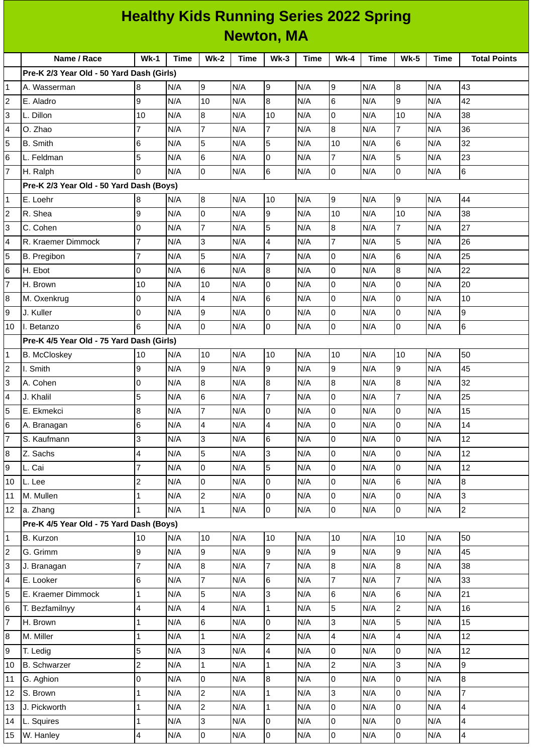| <b>Healthy Kids Running Series 2022 Spring</b> |                                           |                         |             |                         |             |                         |             |                          |             |                  |             |                         |
|------------------------------------------------|-------------------------------------------|-------------------------|-------------|-------------------------|-------------|-------------------------|-------------|--------------------------|-------------|------------------|-------------|-------------------------|
| <b>Newton, MA</b>                              |                                           |                         |             |                         |             |                         |             |                          |             |                  |             |                         |
|                                                | Name / Race                               | $Wk-1$                  | <b>Time</b> | <b>Wk-2</b>             | <b>Time</b> | $Wk-3$                  | <b>Time</b> | $Wk-4$                   | <b>Time</b> | <b>Wk-5</b>      | <b>Time</b> | <b>Total Points</b>     |
|                                                | Pre-K 2/3 Year Old - 50 Yard Dash (Girls) |                         |             |                         |             |                         |             |                          |             |                  |             |                         |
| 1                                              | A. Wasserman                              | 8                       | N/A         | 9                       | N/A         | 9                       | N/A         | 9                        | N/A         | 8                | N/A         | 43                      |
| $\overline{c}$                                 | E. Aladro                                 | 9                       | N/A         | 10                      | N/A         | 8                       | N/A         | 6                        | N/A         | $\mathsf g$      | N/A         | 42                      |
| 3                                              | L. Dillon                                 | 10                      | N/A         | 8                       | N/A         | 10                      | N/A         | 0                        | N/A         | 10               | N/A         | 38                      |
| 4                                              | O. Zhao                                   | $\overline{7}$          | N/A         | $\overline{7}$          | N/A         | $\overline{7}$          | N/A         | 8                        | N/A         | $\overline{7}$   | N/A         | 36                      |
| 5                                              | <b>B.</b> Smith                           | 6                       | N/A         | 5                       | N/A         | 5                       | N/A         | 10                       | N/A         | $6\phantom{.}6$  | N/A         | 32                      |
| 6                                              | L. Feldman                                | 5                       | N/A         | 6                       | N/A         | $\overline{0}$          | N/A         | $\overline{7}$           | N/A         | 5                | N/A         | 23                      |
| $\overline{7}$                                 | H. Ralph                                  | 0                       | N/A         | $\overline{0}$          | N/A         | 6                       | N/A         | 0                        | N/A         | $\mathsf{O}$     | N/A         | 6                       |
|                                                | Pre-K 2/3 Year Old - 50 Yard Dash (Boys)  |                         |             |                         |             |                         |             |                          |             |                  |             |                         |
| $\mathbf{1}$                                   | E. Loehr                                  | 8                       | N/A         | 8                       | N/A         | 10                      | N/A         | 9                        | N/A         | 9                | N/A         | 44                      |
| $\overline{c}$                                 | R. Shea                                   | 9                       | N/A         | 0                       | N/A         | 9                       | N/A         | 10                       | N/A         | 10               | N/A         | 38                      |
| 3                                              | C. Cohen                                  | 0                       | N/A         | $\overline{7}$          | N/A         | 5                       | N/A         | 8                        | N/A         | $\overline{7}$   | N/A         | 27                      |
| 4                                              | R. Kraemer Dimmock                        | $\overline{7}$          | N/A         | 3                       | N/A         | 4                       | N/A         | 7                        | N/A         | 5                | N/A         | 26                      |
| 5                                              | B. Pregibon                               | $\overline{7}$          | N/A         | 5                       | N/A         | $\overline{7}$          | N/A         | 0                        | N/A         | $6\phantom{1}6$  | N/A         | 25                      |
| 6                                              | H. Ebot                                   | 0                       | N/A         | 6                       | N/A         | 8                       | N/A         | O                        | N/A         | $\boldsymbol{8}$ | N/A         | 22                      |
| $\overline{7}$                                 | H. Brown                                  | 10                      | N/A         | 10                      | N/A         | 0                       | N/A         | 0                        | N/A         | $\mathsf{O}$     | N/A         | 20                      |
| 8                                              | M. Oxenkrug                               | 0                       | N/A         | 4                       | N/A         | 6                       | N/A         | $\mathsf{O}$             | N/A         | $\overline{0}$   | N/A         | 10                      |
| 9                                              | J. Kuller                                 | 0                       | N/A         | 9                       | N/A         | 0                       | N/A         | 0                        | N/A         | O                | N/A         | 9                       |
| 10                                             | II. Betanzo                               | 6                       | N/A         | 0                       | N/A         | 0                       | N/A         | 0                        | N/A         | $\pmb{0}$        | N/A         | 6                       |
|                                                | Pre-K 4/5 Year Old - 75 Yard Dash (Girls) |                         |             |                         |             |                         |             |                          |             |                  |             |                         |
| 1                                              | <b>B. McCloskey</b>                       | 10                      | N/A         | 10                      | N/A         | 10                      | N/A         | 10                       | N/A         | 10               | N/A         | 50                      |
| 2                                              | I. Smith                                  | 9                       | N/A         | 9                       | N/A         | 9                       | N/A         | 9                        | N/A         | $\mathsf g$      | N/A         | 45                      |
| 3                                              | A. Cohen                                  | 0                       | N/A         | 8                       | N/A         | $\bf{8}$                | N/A         | $\boldsymbol{8}$         | N/A         | $\boldsymbol{8}$ | N/A         | 32                      |
| 4                                              | J. Khalil                                 | 5                       | N/A         | 6                       | N/A         | $\overline{7}$          | N/A         | 0                        | N/A         | $\overline{7}$   | N/A         | 25                      |
| 5                                              | E. Ekmekci                                | 8                       | N/A         | $\overline{7}$          | N/A         | $\overline{0}$          | N/A         | lo                       | N/A         | $\overline{0}$   | N/A         | 15                      |
| 6                                              | A. Branagan                               | 6                       | N/A         | $\overline{\mathbf{4}}$ | N/A         | $\overline{4}$          | N/A         | $\overline{0}$           | N/A         | $\overline{0}$   | N/A         | 14                      |
| 7                                              | S. Kaufmann                               | 3                       | N/A         | 3                       | N/A         | 6                       | N/A         | l0                       | N/A         | $\mathsf 0$      | N/A         | 12                      |
| 8                                              | Z. Sachs                                  | 4                       | N/A         | 5                       | N/A         | 3                       | N/A         | $\overline{0}$           | N/A         | $\overline{0}$   | N/A         | 12                      |
| 9                                              | L. Cai                                    | $\overline{7}$          | N/A         | $\mathbf 0$             | N/A         | 5                       | N/A         | lo                       | N/A         | $\overline{0}$   | N/A         | 12                      |
| 10                                             | L. Lee                                    | $\overline{\mathbf{c}}$ | N/A         | 0                       | N/A         | O                       | N/A         | $\overline{0}$           | N/A         | $\,6$            | N/A         | 8                       |
| $11\,$                                         | M. Mullen                                 | $\mathbf{1}$            | N/A         | $\overline{c}$          | N/A         | $\overline{0}$          | N/A         | lo                       | N/A         | $\overline{0}$   | N/A         | 3                       |
| 12                                             | a. Zhang                                  | $\mathbf{1}$            | N/A         | $\mathbf 1$             | N/A         | $\overline{0}$          | N/A         | $\overline{0}$           | N/A         | $\overline{0}$   | N/A         | $\overline{c}$          |
|                                                | Pre-K 4/5 Year Old - 75 Yard Dash (Boys)  |                         |             |                         |             |                         |             |                          |             |                  |             |                         |
| 1                                              | B. Kurzon                                 | 10                      | N/A         | 10                      | N/A         | 10                      | N/A         | 10                       | N/A         | 10               | N/A         | 50                      |
| $\overline{c}$                                 | G. Grimm                                  | 9                       | N/A         | 9                       | N/A         | 9                       | N/A         | 9                        | N/A         | 9                | N/A         | 45                      |
| 3                                              | J. Branagan                               | $\overline{7}$          | N/A         | $\overline{8}$          | N/A         | $\overline{7}$          | N/A         | $\overline{8}$           | N/A         | 8                | N/A         | 38                      |
| 4                                              | E. Looker                                 | 6                       | N/A         | $\overline{7}$          | N/A         | $6\phantom{.}6$         | N/A         | $\overline{7}$           | N/A         | $\overline{7}$   | N/A         | 33                      |
| 5                                              | E. Kraemer Dimmock                        | $\mathbf 1$             | N/A         | 5                       | N/A         | 3                       | N/A         | $\,6$                    | N/A         | $\,$ 6           | N/A         | 21                      |
| 6                                              | T. Bezfamilnyy                            | 4                       | N/A         | 4                       | N/A         | $\mathbf 1$             | N/A         | $\overline{5}$           | N/A         | $\overline{2}$   | N/A         | 16                      |
| 7                                              | H. Brown                                  | 1                       | N/A         | 6                       | N/A         | $\overline{0}$          | N/A         | 3                        | N/A         | $\overline{5}$   | N/A         | 15                      |
| 8                                              | M. Miller                                 | $\mathbf{1}$            | N/A         | $\mathbf{1}$            | N/A         | $\mathbf{2}$            | N/A         | $\overline{\mathcal{L}}$ | N/A         | 4                | N/A         | 12                      |
| 9                                              | T. Ledig                                  | 5                       | N/A         | 3                       | N/A         | $\overline{\mathbf{4}}$ | N/A         | lo                       | N/A         | l <sub>0</sub>   | N/A         | 12                      |
| 10                                             | <b>B.</b> Schwarzer                       | $\overline{c}$          | N/A         | $\mathbf 1$             | N/A         | $\mathbf 1$             | N/A         | $\overline{c}$           | N/A         | $\overline{3}$   | N/A         | 9                       |
| 11                                             | G. Aghion                                 | 0                       | N/A         | $\mathsf{o}$            | N/A         | $\overline{8}$          | N/A         | $\mathbf 0$              | N/A         | $\mathbf 0$      | N/A         | 8                       |
| 12                                             | S. Brown                                  | 1                       | N/A         | $\overline{c}$          | N/A         | $\mathbf 1$             | N/A         | 3                        | N/A         | $\overline{0}$   | N/A         | $\overline{7}$          |
| 13                                             | J. Pickworth                              | 1                       | N/A         | $\mathbf{2}$            | N/A         | $\mathbf{1}$            | N/A         | 0                        | N/A         | 0                | N/A         | 4                       |
| 14                                             | L. Squires                                | $\mathbf{1}$            | N/A         | 3                       | N/A         | $\mathsf{O}\xspace$     | N/A         | $\mathsf 0$              | N/A         | $\mathsf 0$      | N/A         | 4                       |
| 15 <sub>1</sub>                                | W. Hanley                                 | 4                       | N/A         | $\overline{0}$          | N/A         | $\overline{0}$          | N/A         | $\overline{0}$           | N/A         | $\overline{0}$   | N/A         | $\overline{\mathbf{4}}$ |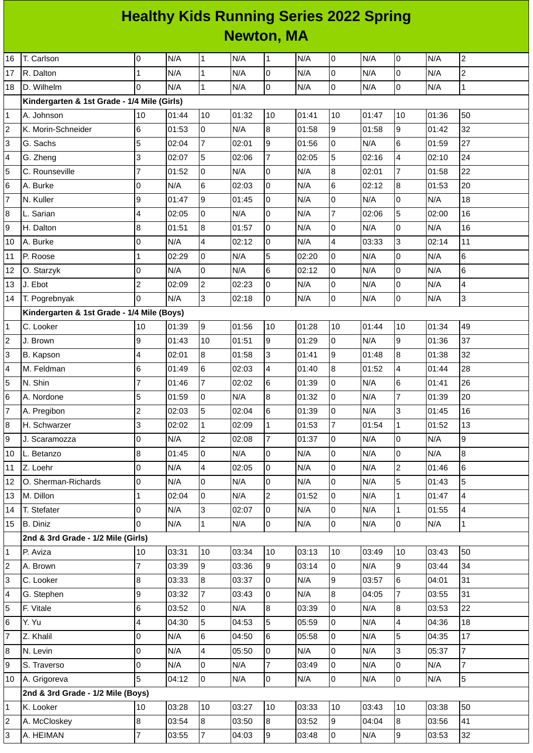## **Healthy Kids Running Series 2022 Spring Newton, MA**

| 16              | T. Carlson                                  | 0              | N/A   | $\mathbf 1$    | N/A   | $\mathbf{1}$     | N/A   | 0              | N/A   | 0              | N/A   | $\overline{c}$   |
|-----------------|---------------------------------------------|----------------|-------|----------------|-------|------------------|-------|----------------|-------|----------------|-------|------------------|
| 17              | R. Dalton                                   | $\mathbf{1}$   | N/A   | $\mathbf{1}$   | N/A   | O                | N/A   | 0              | N/A   | 0              | N/A   | $\overline{2}$   |
| 18              | D. Wilhelm                                  | $\overline{0}$ | N/A   | $\mathbf{1}$   | N/A   | $\overline{0}$   | N/A   | 0              | N/A   | 0              | N/A   | $\mathbf 1$      |
|                 | Kindergarten & 1st Grade - 1/4 Mile (Girls) |                |       |                |       |                  |       |                |       |                |       |                  |
| $\mathbf{1}$    | A. Johnson                                  | 10             | 01:44 | 10             | 01:32 | 10               | 01:41 | 10             | 01:47 | 10             | 01:36 | 50               |
| $\overline{c}$  | K. Morin-Schneider                          | 6              | 01:53 | $\overline{0}$ | N/A   | $\boldsymbol{8}$ | 01:58 | 9              | 01:58 | 9              | 01:42 | 32               |
| 3               | G. Sachs                                    | 5              | 02:04 | $\overline{7}$ | 02:01 | 9                | 01:56 | 0              | N/A   | 6              | 01:59 | 27               |
| 4               | G. Zheng                                    | 3              | 02:07 | 5              | 02:06 | $\overline{7}$   | 02:05 | 5              | 02:16 | 4              | 02:10 | 24               |
| 5               | C. Rounseville                              | $\overline{7}$ | 01:52 | $\overline{0}$ | N/A   | $\mathsf 0$      | N/A   | 8              | 02:01 | $\overline{7}$ | 01:58 | 22               |
| 6               | A. Burke                                    | $\overline{0}$ | N/A   | $6\phantom{a}$ | 02:03 | O                | N/A   | 6              | 02:12 | 8              | 01:53 | 20               |
| 7               | N. Kuller                                   | 9              | 01:47 | 9              | 01:45 | $\overline{0}$   | N/A   | 0              | N/A   | 0              | N/A   | 18               |
| 8               | L. Sarian                                   | 4              | 02:05 | $\overline{0}$ | N/A   | $\overline{0}$   | N/A   | $\overline{7}$ | 02:06 | 5              | 02:00 | 16               |
| 9               | H. Dalton                                   | 8              | 01:51 | 8              | 01:57 | O                | N/A   | 0              | N/A   | 0              | N/A   | 16               |
| 10              | A. Burke                                    | $\mathsf 0$    | N/A   | $\overline{4}$ | 02:12 | 0                | N/A   | 4              | 03:33 | 3              | 02:14 | 11               |
| 11              | P. Roose                                    | $\mathbf 1$    | 02:29 | $\overline{0}$ | N/A   | 5                | 02:20 | 0              | N/A   | 0              | N/A   | $\,6$            |
| 12              | O. Starzyk                                  | 0              | N/A   | $\overline{0}$ | N/A   | $6\phantom{.}6$  | 02:12 | 0              | N/A   | 0              | N/A   | $\,6$            |
| 13              | J. Ebot                                     | $\overline{c}$ | 02:09 | $\overline{c}$ | 02:23 | $\overline{0}$   | N/A   | 0              | N/A   | 0              | N/A   | 4                |
| 14              | T. Pogrebnyak                               | $\Omega$       | N/A   | $\overline{3}$ | 02:18 | $\overline{0}$   | N/A   | 0              | N/A   | 0              | N/A   | $\overline{3}$   |
|                 | Kindergarten & 1st Grade - 1/4 Mile (Boys)  |                |       |                |       |                  |       |                |       |                |       |                  |
| 1               | C. Looker                                   | 10             | 01:39 | 9              | 01:56 | 10               | 01:28 | 10             | 01:44 | 10             | 01:34 | 49               |
| 2               | J. Brown                                    | 9              | 01:43 | 10             | 01:51 | 9                | 01:29 | 0              | N/A   | 9              | 01:36 | 37               |
| 3               | B. Kapson                                   | 4              | 02:01 | $\bf{8}$       | 01:58 | 3                | 01:41 | 9              | 01:48 | 8              | 01:38 | 32               |
| 4               | M. Feldman                                  | 6              | 01:49 | $6\phantom{a}$ | 02:03 | 4                | 01:40 | 8              | 01:52 | 4              | 01:44 | 28               |
| 5               | N. Shin                                     | 7              | 01:46 | $\overline{7}$ | 02:02 | $6\phantom{.}6$  | 01:39 | 0              | N/A   | 6              | 01:41 | 26               |
| $6\phantom{.}6$ | A. Nordone                                  | 5              | 01:59 | $\overline{0}$ | N/A   | $\bf{8}$         | 01:32 | 0              | N/A   | $\overline{7}$ | 01:39 | 20               |
| 7               | A. Pregibon                                 | $\overline{c}$ | 02:03 | 5              | 02:04 | $6\phantom{.}6$  | 01:39 | 0              | N/A   | 3              | 01:45 | 16               |
| 8               | H. Schwarzer                                | 3              | 02:02 | $\mathbf{1}$   | 02:09 | $\mathbf{1}$     | 01:53 | 7              | 01:54 | $\mathbf 1$    | 01:52 | 13               |
| 9               | J. Scaramozza                               | $\overline{0}$ | N/A   | $\overline{c}$ | 02:08 | $\overline{7}$   | 01:37 | $\overline{0}$ | N/A   | 0              | N/A   | $\boldsymbol{9}$ |
| 10              | L. Betanzo                                  | 8              | 01:45 | l0             | N/A   | O                | N/A   | $\overline{0}$ | N/A   | 0              | N/A   | 8                |
| 11              | Z. Loehr                                    | $\overline{0}$ | N/A   | $\overline{4}$ | 02:05 | $\overline{0}$   | N/A   | 0              | N/A   | $\overline{c}$ | 01:46 | 6                |
| 12              | O. Sherman-Richards                         | $\overline{0}$ | N/A   | $\overline{0}$ | N/A   | $\mathsf{O}$     | N/A   | 0              | N/A   | 5              | 01:43 | 5                |
| 13              | M. Dillon                                   | $\mathbf{1}$   | 02:04 | $\overline{0}$ | N/A   | $\overline{c}$   | 01:52 | 0              | N/A   | $\mathbf{1}$   | 01:47 | $\overline{4}$   |
| 14              | T. Stefater                                 | 0              | N/A   | $\overline{3}$ | 02:07 | $\overline{0}$   | N/A   | 0              | N/A   | $\mathbf 1$    | 01:55 | 4                |
| 15              | B. Diniz                                    | $\Omega$       | N/A   | $\overline{1}$ | N/A   | $\overline{0}$   | N/A   | $\mathsf{O}$   | N/A   | 0              | N/A   | $\mathbf{1}$     |
|                 | 2nd & 3rd Grade - 1/2 Mile (Girls)          |                |       |                |       |                  |       |                |       |                |       |                  |
| $\mathbf{1}$    | P. Aviza                                    | 10             | 03:31 | 10             | 03:34 | 10               | 03:13 | 10             | 03:49 | 10             | 03:43 | 50               |
| 2               | A. Brown                                    | $\overline{7}$ | 03:39 | 9              | 03:36 | 9                | 03:14 | 0              | N/A   | 9              | 03:44 | 34               |
| 3               | C. Looker                                   | $\, 8$         | 03:33 | $\bf{8}$       | 03:37 | $\overline{0}$   | N/A   | 9              | 03:57 | 6              | 04:01 | 31               |
| 4               | G. Stephen                                  | 9              | 03:32 | $\overline{7}$ | 03:43 | $\overline{0}$   | N/A   | 8              | 04:05 | $\overline{7}$ | 03:55 | 31               |
| 5               | F. Vitale                                   | 6              | 03:52 | $\overline{0}$ | N/A   | $\bf{8}$         | 03:39 | $\overline{0}$ | N/A   | 8              | 03:53 | 22               |
| 6               | Y. Yu                                       | 4              | 04:30 | 5              | 04:53 | 5                | 05:59 | 0              | N/A   | 4              | 04:36 | 18               |
| $\overline{7}$  | Z. Khalil                                   | $\mathsf 0$    | N/A   | $6\phantom{.}$ | 04:50 | $6\phantom{.}$   | 05:58 | 0              | N/A   | 5              | 04:35 | 17               |
| 8               | N. Levin                                    | 0              | N/A   | $\overline{4}$ | 05:50 | $\overline{0}$   | N/A   | 0              | N/A   | 3              | 05:37 | $\overline{7}$   |
| 9               | S. Traverso                                 | $\overline{0}$ | N/A   | $\overline{0}$ | N/A   | 7                | 03:49 | 0              | N/A   | 0              | N/A   | $\overline{7}$   |
| 10              | A. Grigoreva                                | 5              | 04:12 | $\overline{0}$ | N/A   | $\overline{0}$   | N/A   | 0              | N/A   | 0              | N/A   | 5                |
|                 | 2nd & 3rd Grade - 1/2 Mile (Boys)           |                |       |                |       |                  |       |                |       |                |       |                  |
| $\mathbf{1}$    | K. Looker                                   | 10             | 03:28 | 10             | 03:27 | 10               | 03:33 | 10             | 03:43 | 10             | 03:38 | 50               |
| $\overline{c}$  | A. McCloskey                                | 8              | 03:54 | $8\,$          | 03:50 | 8                | 03:52 | 9              | 04:04 | 8              | 03:56 | 41               |
| 3               | A. HEIMAN                                   | 7              | 03:55 | $\overline{7}$ | 04:03 | 9                | 03:48 | 0              | N/A   | $\overline{9}$ | 03:53 | 32               |
|                 |                                             |                |       |                |       |                  |       |                |       |                |       |                  |